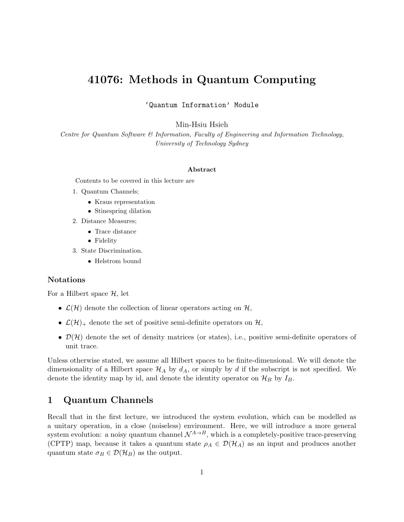# 41076: Methods in Quantum Computing

'Quantum Information' Module

Min-Hsiu Hsieh

Centre for Quantum Software & Information, Faculty of Engineering and Information Technology, University of Technology Sydney

#### Abstract

Contents to be covered in this lecture are

- 1. Quantum Channels;
	- Kraus representation
	- Stinespring dilation
- 2. Distance Measures;
	- Trace distance
	- Fidelity
- 3. State Discrimination.
	- Helstrom bound

#### Notations

For a Hilbert space  $H$ , let

- $\mathcal{L}(\mathcal{H})$  denote the collection of linear operators acting on  $\mathcal{H}$ ,
- $\mathcal{L}(\mathcal{H})_+$  denote the set of positive semi-definite operators on  $\mathcal{H}$ ,
- $\mathcal{D}(\mathcal{H})$  denote the set of density matrices (or states), i.e., positive semi-definite operators of unit trace.

Unless otherwise stated, we assume all Hilbert spaces to be finite-dimensional. We will denote the dimensionality of a Hilbert space  $\mathcal{H}_A$  by  $d_A$ , or simply by d if the subscript is not specified. We denote the identity map by id, and denote the identity operator on  $\mathcal{H}_B$  by  $I_B$ .

### 1 Quantum Channels

Recall that in the first lecture, we introduced the system evolution, which can be modelled as a unitary operation, in a close (noiseless) environment. Here, we will introduce a more general system evolution: a noisy quantum channel  $\mathcal{N}^{A\to B}$ , which is a completely-positive trace-preserving (CPTP) map, because it takes a quantum state  $\rho_A \in \mathcal{D}(\mathcal{H}_A)$  as an input and produces another quantum state  $\sigma_B \in \mathcal{D}(\mathcal{H}_B)$  as the output.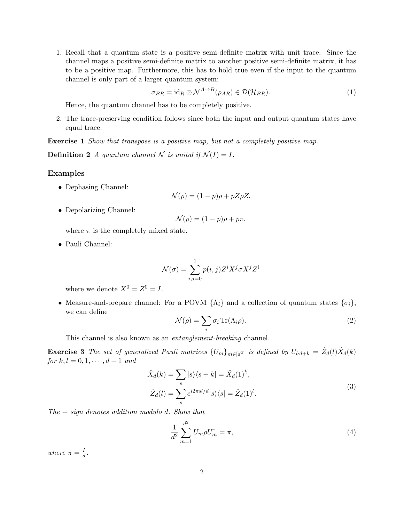1. Recall that a quantum state is a positive semi-definite matrix with unit trace. Since the channel maps a positive semi-definite matrix to another positive semi-definite matrix, it has to be a positive map. Furthermore, this has to hold true even if the input to the quantum channel is only part of a larger quantum system:

$$
\sigma_{BR} = id_R \otimes \mathcal{N}^{A \to B}(\rho_{AR}) \in \mathcal{D}(\mathcal{H}_{BR}). \tag{1}
$$

Hence, the quantum channel has to be completely positive.

2. The trace-preserving condition follows since both the input and output quantum states have equal trace.

Exercise 1 Show that transpose is a positive map, but not a completely positive map.

**Definition 2** A quantum channel N is unital if  $\mathcal{N}(I) = I$ .

#### Examples

• Dephasing Channel:

$$
\mathcal{N}(\rho) = (1 - p)\rho + pZ\rho Z.
$$

• Depolarizing Channel:

$$
\mathcal{N}(\rho) = (1 - p)\rho + p\pi,
$$

where  $\pi$  is the completely mixed state.

• Pauli Channel:

$$
\mathcal{N}(\sigma) = \sum_{i,j=0}^{1} p(i,j) Z^i X^j \sigma X^j Z^i
$$

where we denote  $X^0 = Z^0 = I$ .

• Measure-and-prepare channel: For a POVM  $\{\Lambda_i\}$  and a collection of quantum states  $\{\sigma_i\},$ we can define

$$
\mathcal{N}(\rho) = \sum_{i} \sigma_i \operatorname{Tr}(\Lambda_i \rho).
$$
 (2)

This channel is also known as an entanglement-breaking channel.

**Exercise 3** The set of generalized Pauli matrices  $\{U_m\}_{m\in[d^2]}$  is defined by  $U_{l\cdot d+k} = \hat{Z}_d(l)\hat{X}_d(k)$ for  $k, l = 0, 1, \cdots, d - 1$  and

$$
\hat{X}_d(k) = \sum_s |s\rangle\langle s + k| = \hat{X}_d(1)^k,
$$
  
\n
$$
\hat{Z}_d(l) = \sum_s e^{i2\pi sl/d} |s\rangle\langle s| = \hat{Z}_d(1)^l.
$$
\n(3)

 $The + sign denotes addition modulo d. Show that$ 

$$
\frac{1}{d^2} \sum_{m=1}^{d^2} U_m \rho U_m^{\dagger} = \pi,\tag{4}
$$

where  $\pi = \frac{I}{d}$  $\frac{1}{d}$ .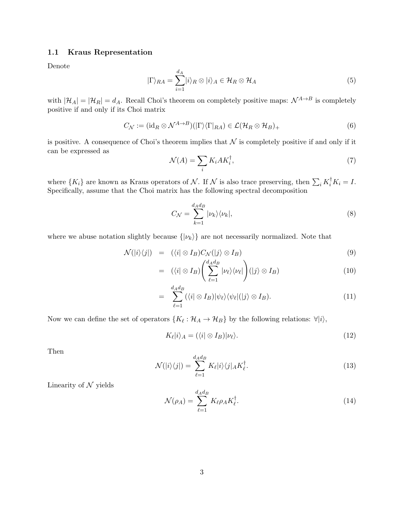#### 1.1 Kraus Representation

Denote

<span id="page-2-0"></span>
$$
|\Gamma\rangle_{RA} = \sum_{i=1}^{d_A} |i\rangle_R \otimes |i\rangle_A \in \mathcal{H}_R \otimes \mathcal{H}_A
$$
\n(5)

with  $|\mathcal{H}_A| = |\mathcal{H}_R| = d_A$ . Recall Choi's theorem on completely positive maps:  $\mathcal{N}^{A \to B}$  is completely positive if and only if its Choi matrix

$$
C_{\mathcal{N}} := (\mathrm{id}_R \otimes \mathcal{N}^{A \to B})(|\Gamma\rangle\langle\Gamma|_{RA}) \in \mathcal{L}(\mathcal{H}_R \otimes \mathcal{H}_B)_+ \tag{6}
$$

is positive. A consequence of Choi's theorem implies that  $N$  is completely positive if and only if it can be expressed as

$$
\mathcal{N}(A) = \sum_{i} K_i A K_i^{\dagger},\tag{7}
$$

where  $\{K_i\}$  are known as Kraus operators of N. If N is also trace preserving, then  $\sum_i K_i^{\dagger} K_i = I$ . Specifically, assume that the Choi matrix has the following spectral decomposition

$$
C_{\mathcal{N}} = \sum_{k=1}^{d_A d_B} |\nu_k\rangle\langle\nu_k|,\tag{8}
$$

where we abuse notation slightly because  $\{|\nu_k\rangle\}$  are not necessarily normalized. Note that

$$
\mathcal{N}(|i\rangle\langle j|) = (\langle i| \otimes I_B)C_{\mathcal{N}}(|j\rangle \otimes I_B) \tag{9}
$$

$$
= (\langle i | \otimes I_B) \left( \sum_{\ell=1}^{d_A d_B} | \nu_{\ell} \rangle \langle \nu_{\ell} | \right) (|j \rangle \otimes I_B) \tag{10}
$$

$$
= \sum_{\ell=1}^{d_A d_B} (\langle i | \otimes I_B) | \psi_\ell \rangle \langle \psi_\ell | (j \rangle \otimes I_B). \tag{11}
$$

Now we can define the set of operators  $\{K_\ell: \mathcal{H}_A \to \mathcal{H}_B\}$  by the following relations:  $\forall |i\rangle$ ,

$$
K_{\ell}|i\rangle_{A} = (\langle i| \otimes I_{B})|\nu_{\ell}\rangle.
$$
\n(12)

Then

<span id="page-2-1"></span>
$$
\mathcal{N}(|i\rangle\langle j|) = \sum_{\ell=1}^{d_A d_B} K_{\ell} |i\rangle\langle j|_A K_{\ell}^{\dagger}.
$$
\n(13)

Linearity of  $N$  yields

$$
\mathcal{N}(\rho_A) = \sum_{\ell=1}^{d_A d_B} K_{\ell} \rho_A K_{\ell}^{\dagger}.
$$
\n(14)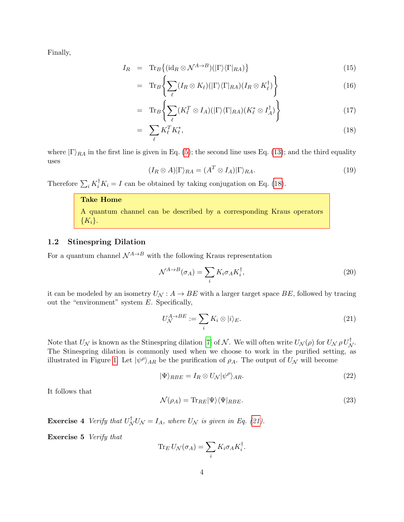Finally,

<span id="page-3-0"></span>
$$
I_R = \text{Tr}_B\{(\text{id}_R \otimes \mathcal{N}^{A \to B})(|\Gamma\rangle\langle\Gamma|_{RA})\}\tag{15}
$$

$$
= \operatorname{Tr}_{B}\left\{\sum_{\ell} (I_R \otimes K_{\ell})(|\Gamma\rangle\langle\Gamma|_{RA})(I_R \otimes K_{\ell}^{\dagger})\right\} \tag{16}
$$

$$
= \operatorname{Tr}_{B}\left\{\sum_{\ell} (K_{\ell}^{T} \otimes I_{A})(|\Gamma\rangle\langle\Gamma|_{RA})(K_{\ell}^{*} \otimes I_{A}^{\dagger})\right\} \tag{17}
$$

$$
= \sum_{\ell} K_{\ell}^{T} K_{\ell}^{*}, \tag{18}
$$

where  $|\Gamma\rangle_{RA}$  in the first line is given in Eq. [\(5\)](#page-2-0); the second line uses Eq. [\(13\)](#page-2-1); and the third equality uses

$$
(I_R \otimes A)|\Gamma\rangle_{RA} = (A^T \otimes I_A)|\Gamma\rangle_{RA}.
$$
\n(19)

Therefore  $\sum_i K_i^{\dagger} K_i = I$  can be obtained by taking conjugation on Eq. [\(18\)](#page-3-0).

=

### Take Home

|            |  |  |  | A quantum channel can be described by a corresponding Kraus operators |  |
|------------|--|--|--|-----------------------------------------------------------------------|--|
| $\{K_i\}.$ |  |  |  |                                                                       |  |

#### 1.2 Stinespring Dilation

For a quantum channel  $\mathcal{N}^{A\to B}$  with the following Kraus representation

$$
\mathcal{N}^{A \to B}(\sigma_A) = \sum_i K_i \sigma_A K_i^{\dagger},\tag{20}
$$

it can be modeled by an isometry  $U_N: A \to BE$  with a larger target space  $BE$ , followed by tracing out the "environment" system  $E$ . Specifically,

<span id="page-3-1"></span>
$$
U_{\mathcal{N}}^{A \to BE} := \sum_{i} K_i \otimes |i\rangle_E. \tag{21}
$$

Note that  $U_{\mathcal{N}}$  is known as the Stinespring dilation [\[7\]](#page-10-0) of  $\mathcal{N}$ . We will often write  $U_{\mathcal{N}}(\rho)$  for  $U_{\mathcal{N}} \rho U_{\mathcal{N}}^{\dagger}$ . The Stinespring dilation is commonly used when we choose to work in the purified setting, as illustrated in Figure [1.](#page-4-0) Let  $|\psi^{\rho}\rangle_{AR}$  be the purification of  $\rho_A$ . The output of  $U_{\mathcal{N}}$  will become

$$
|\Psi\rangle_{RBE} = I_R \otimes U_N |\psi^{\rho}\rangle_{AR}.
$$
\n(22)

It follows that

$$
\mathcal{N}(\rho_A) = \text{Tr}_{RE} |\Psi\rangle\langle\Psi|_{RBE}.\tag{23}
$$

**Exercise 4** Verify that  $U_N^{\dagger}U_N = I_A$ , where  $U_N$  is given in Eq. [\(21\)](#page-3-1).

Exercise 5 Verify that

$$
\operatorname{Tr}_E U_{\mathcal{N}}(\sigma_A) = \sum_i K_i \sigma_A K_i^{\dagger}.
$$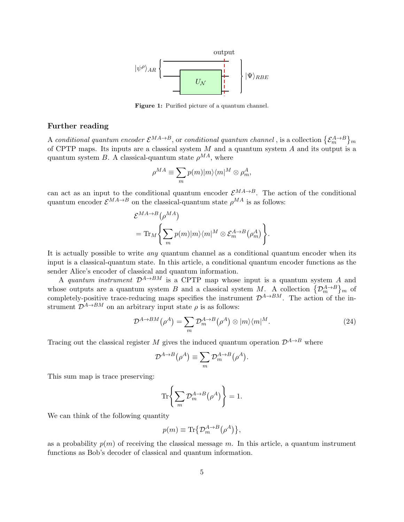<span id="page-4-0"></span>

Figure 1: Purified picture of a quantum channel.

#### Further reading

A conditional quantum encoder  $\mathcal{E}^{MA\to B}$ , or conditional quantum channel , is a collection  $\{\mathcal{E}_m^{A\to B}\}_m$ of CPTP maps. Its inputs are a classical system  $M$  and a quantum system  $A$  and its output is a quantum system B. A classical-quantum state  $\rho^{MA}$ , where

$$
\rho^{MA} \equiv \sum_{m} p(m) |m\rangle\langle m|^M \otimes \rho_m^A,
$$

can act as an input to the conditional quantum encoder  $\mathcal{E}^{MA\to B}$ . The action of the conditional quantum encoder  $\mathcal{E}^{MA\to B}$  on the classical-quantum state  $\rho^{MA}$  is as follows:

$$
\mathcal{E}^{MA \to B}(\rho^{MA})
$$
  
=  $\text{Tr}_M \left\{ \sum_m p(m) |m\rangle\langle m|^M \otimes \mathcal{E}_m^{A \to B}(\rho_m^A) \right\}.$ 

It is actually possible to write *any* quantum channel as a conditional quantum encoder when its input is a classical-quantum state. In this article, a conditional quantum encoder functions as the sender Alice's encoder of classical and quantum information.

A quantum instrument  $\mathcal{D}^{A\to BM}$  is a CPTP map whose input is a quantum system A and whose outputs are a quantum system B and a classical system M. A collection  $\{\mathcal{D}_{m}^{A\to B}\}_{m}$  of completely-positive trace-reducing maps specifies the instrument  $\mathcal{D}^{A\to BM}$ . The action of the instrument  $\mathcal{D}^{A\to BM}$  on an arbitrary input state  $\rho$  is as follows:

$$
\mathcal{D}^{A \to BM}(\rho^A) = \sum_m \mathcal{D}_m^{A \to B}(\rho^A) \otimes |m\rangle\langle m|^M. \tag{24}
$$

Tracing out the classical register M gives the induced quantum operation  $\mathcal{D}^{A\rightarrow B}$  where

$$
\mathcal{D}^{A \to B}(\rho^A) \equiv \sum_m \mathcal{D}_m^{A \to B}(\rho^A).
$$

This sum map is trace preserving:

$$
\text{Tr}\left\{\sum_{m} \mathcal{D}_{m}^{A\to B}(\rho^{A})\right\} = 1.
$$

We can think of the following quantity

$$
p(m) \equiv \text{Tr}\{ \mathcal{D}_m^{A \to B} (\rho^A) \},
$$

as a probability  $p(m)$  of receiving the classical message m. In this article, a quantum instrument functions as Bob's decoder of classical and quantum information.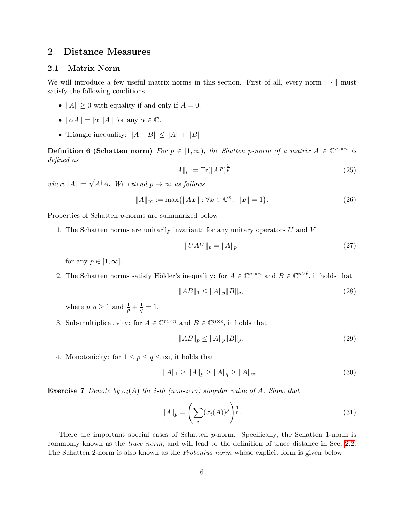# 2 Distance Measures

### 2.1 Matrix Norm

We will introduce a few useful matrix norms in this section. First of all, every norm  $\|\cdot\|$  must satisfy the following conditions.

- $||A|| \geq 0$  with equality if and only if  $A = 0$ .
- $\|\alpha A\| = |\alpha| \|A\|$  for any  $\alpha \in \mathbb{C}$ .
- Triangle inequality:  $||A + B|| \le ||A|| + ||B||$ .

**Definition 6 (Schatten norm)** For  $p \in [1,\infty)$ , the Shatten p-norm of a matrix  $A \in \mathbb{C}^{m \times n}$  is defined as

$$
||A||_p := \text{Tr}(|A|^p)^{\frac{1}{p}} \tag{25}
$$

where  $|A| := \sqrt{A^{\dagger}A}$ . We extend  $p \to \infty$  as follows

<span id="page-5-0"></span>
$$
||A||_{\infty} := \max{||Ax|| : \forall x \in \mathbb{C}^n, ||x|| = 1}.
$$
 (26)

Properties of Schatten p-norms are summarized below

1. The Schatten norms are unitarily invariant: for any unitary operators U and V

$$
||UAV||_p = ||A||_p \t\t(27)
$$

for any  $p \in [1, \infty]$ .

2. The Schatten norms satisfy Hölder's inequality: for  $A \in \mathbb{C}^{m \times n}$  and  $B \in \mathbb{C}^{n \times \ell}$ , it holds that

$$
||AB||_1 \le ||A||_p ||B||_q,\t(28)
$$

where  $p, q \geq 1$  and  $\frac{1}{p} + \frac{1}{q}$  $\frac{1}{q} = 1.$ 

3. Sub-multiplicativity: for  $A \in \mathbb{C}^{m \times n}$  and  $B \in \mathbb{C}^{n \times \ell}$ , it holds that

$$
||AB||_p \le ||A||_p ||B||_p. \tag{29}
$$

4. Monotonicity: for  $1 \leq p \leq q \leq \infty$ , it holds that

$$
||A||_1 \ge ||A||_p \ge ||A||_q \ge ||A||_\infty. \tag{30}
$$

**Exercise 7** Denote by  $\sigma_i(A)$  the *i*-th (non-zero) singular value of A. Show that

$$
||A||_p = \left(\sum_i (\sigma_i(A))^p\right)^{\frac{1}{p}}.
$$
\n(31)

There are important special cases of Schatten p-norm. Specifically, the Schatten 1-norm is commonly known as the trace norm, and will lead to the definition of trace distance in Sec. [2.2.](#page-6-0) The Schatten 2-norm is also known as the Frobenius norm whose explicit form is given below.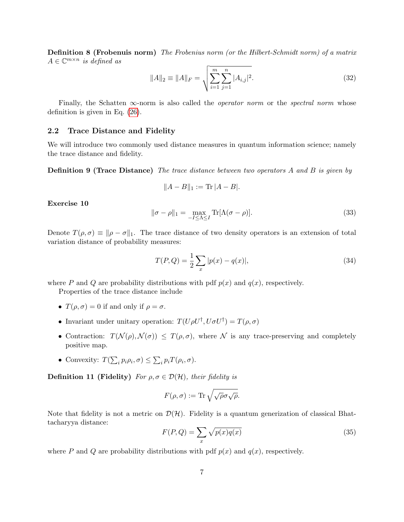Definition 8 (Frobenuis norm) The Frobenius norm (or the Hilbert-Schmidt norm) of a matrix  $A \in \mathbb{C}^{m \times n}$  is defined as

$$
||A||_2 \equiv ||A||_F = \sqrt{\sum_{i=1}^m \sum_{j=1}^n |A_{i,j}|^2}.
$$
 (32)

Finally, the Schatten  $\infty$ -norm is also called the *operator norm* or the *spectral norm* whose definition is given in Eq. [\(26\)](#page-5-0).

### <span id="page-6-0"></span>2.2 Trace Distance and Fidelity

We will introduce two commonly used distance measures in quantum information science; namely the trace distance and fidelity.

**Definition 9 (Trace Distance)** The trace distance between two operators A and B is given by

<span id="page-6-1"></span>
$$
||A - B||_1 := \text{Tr}|A - B|.
$$

Exercise 10

$$
\|\sigma - \rho\|_1 = \max_{-I \le \Lambda \le I} \text{Tr}[\Lambda(\sigma - \rho)].
$$
\n(33)

Denote  $T(\rho, \sigma) \equiv \|\rho - \sigma\|_1$ . The trace distance of two density operators is an extension of total variation distance of probability measures:

$$
T(P,Q) = \frac{1}{2} \sum_{x} |p(x) - q(x)|,
$$
\n(34)

where P and Q are probability distributions with pdf  $p(x)$  and  $q(x)$ , respectively.

Properties of the trace distance include

- $T(\rho, \sigma) = 0$  if and only if  $\rho = \sigma$ .
- Invariant under unitary operation:  $T(U\rho U^{\dagger}, U\sigma U^{\dagger}) = T(\rho, \sigma)$
- Contraction:  $T(\mathcal{N}(\rho), \mathcal{N}(\sigma)) \leq T(\rho, \sigma)$ , where N is any trace-preserving and completely positive map.
- Convexity:  $T(\sum_i p_i \rho_i, \sigma) \leq \sum_i p_i T(\rho_i, \sigma)$ .

**Definition 11 (Fidelity)** For  $\rho, \sigma \in \mathcal{D}(\mathcal{H})$ , their fidelity is

$$
F(\rho,\sigma) := \text{Tr}\sqrt{\sqrt{\rho}\sigma\sqrt{\rho}}.
$$

Note that fidelity is not a metric on  $\mathcal{D}(\mathcal{H})$ . Fidelity is a quantum generization of classical Bhattacharyya distance:

$$
F(P,Q) = \sum_{x} \sqrt{p(x)q(x)}\tag{35}
$$

where P and Q are probability distributions with pdf  $p(x)$  and  $q(x)$ , respectively.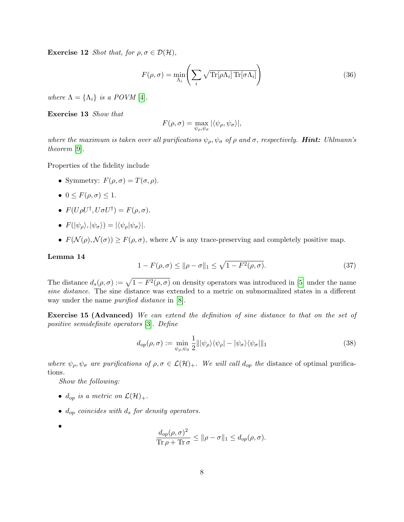**Exercise 12** Shot that, for  $\rho, \sigma \in \mathcal{D}(\mathcal{H})$ ,

$$
F(\rho, \sigma) = \min_{\Lambda_i} \left( \sum_i \sqrt{\text{Tr}[\rho \Lambda_i] \, \text{Tr}[\sigma \Lambda_i]} \right) \tag{36}
$$

where  $\Lambda = {\Lambda_i}$  is a POVM [\[4\]](#page-10-1).

Exercise 13 Show that

$$
F(\rho,\sigma)=\max_{\psi_{\rho},\psi_{\sigma}}|\langle\psi_{\rho},\psi_{\sigma}\rangle|,
$$

where the maximum is taken over all purifications  $\psi_{\rho}, \psi_{\sigma}$  of  $\rho$  and  $\sigma$ , respectively. **Hint:** Uhlmann's theorem [\[9\]](#page-10-2).

Properties of the fidelity include

- Symmetry:  $F(\rho, \sigma) = T(\sigma, \rho)$ .
- $0 \leq F(\rho, \sigma) \leq 1$ .
- $F(U\rho U^{\dagger}, U\sigma U^{\dagger}) = F(\rho, \sigma).$
- $F(|\psi_{\rho}\rangle, |\psi_{\sigma}\rangle) = |\langle \psi_{\rho}|\psi_{\sigma}\rangle|.$
- $F(\mathcal{N}(\rho), \mathcal{N}(\sigma)) \geq F(\rho, \sigma)$ , where  $\mathcal N$  is any trace-preserving and completely positive map.

#### Lemma 14

$$
1 - F(\rho, \sigma) \le ||\rho - \sigma||_1 \le \sqrt{1 - F^2(\rho, \sigma)}.
$$
\n(37)

The distance  $d_s(\rho, \sigma) := \sqrt{1 - F^2(\rho, \sigma)}$  on density operators was introduced in [\[5\]](#page-10-3) under the name sine distance. The sine distance was extended to a metric on subnormalized states in a different way under the name purified distance in [\[8\]](#page-10-4).

Exercise 15 (Advanced) We can extend the definition of sine distance to that on the set of positive semidefinite operators [\[3\]](#page-9-0). Define

$$
d_{op}(\rho,\sigma) := \min_{\psi_{\rho},\psi_{\sigma}} \frac{1}{2} |||\psi_{\rho}\rangle\langle\psi_{\rho}| - |\psi_{\sigma}\rangle\langle\psi_{\sigma}|||_1
$$
\n(38)

where  $\psi_{\rho}, \psi_{\sigma}$  are purifications of  $\rho, \sigma \in \mathcal{L}(\mathcal{H})_+$ . We will call  $d_{op}$  the distance of optimal purifications.

Show the following:

- $d_{op}$  is a metric on  $\mathcal{L}(\mathcal{H})_+$ .
- $\bullet$  d<sub>op</sub> coincides with  $d_s$  for density operators.
- •

$$
\frac{d_{op}(\rho, \sigma)^2}{\text{Tr }\rho + \text{Tr }\sigma} \le \|\rho - \sigma\|_1 \le d_{op}(\rho, \sigma).
$$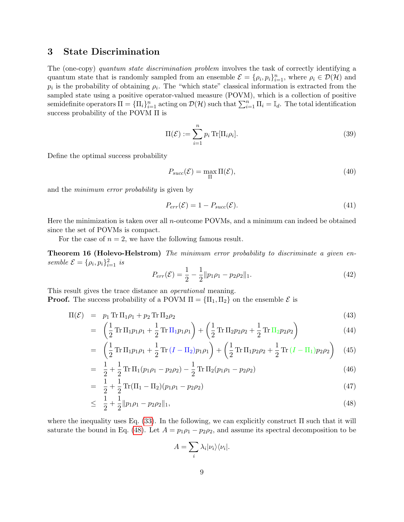# 3 State Discrimination

The (one-copy) quantum state discrimination problem involves the task of correctly identifying a quantum state that is randomly sampled from an ensemble  $\mathcal{E} = \{\rho_i, p_i\}_{i=1}^n$ , where  $\rho_i \in \mathcal{D}(\mathcal{H})$  and  $p_i$  is the probability of obtaining  $\rho_i$ . The "which state" classical information is extracted from the sampled state using a positive operator-valued measure (POVM), which is a collection of positive semidefinite operators  $\Pi = {\{\Pi_i\}}_{i=1}^n$  acting on  $\mathcal{D}(\mathcal{H})$  such that  $\sum_{i=1}^n \Pi_i = \mathbb{I}_d$ . The total identification success probability of the POVM Π is

$$
\Pi(\mathcal{E}) := \sum_{i=1}^{n} p_i \operatorname{Tr}[\Pi_i \rho_i]. \tag{39}
$$

Define the optimal success probability

$$
P_{succ}(\mathcal{E}) = \max_{\Pi} \Pi(\mathcal{E}),\tag{40}
$$

and the minimum error probability is given by

$$
P_{err}(\mathcal{E}) = 1 - P_{succ}(\mathcal{E}).
$$
\n(41)

Here the minimization is taken over all n-outcome POVMs, and a minimum can indeed be obtained since the set of POVMs is compact.

For the case of  $n = 2$ , we have the following famous result.

Theorem 16 (Holevo-Helstrom) The minimum error probability to discriminate a given ensemble  $\mathcal{E} = {\rho_i, p_i}_{i=1}^2$  is

$$
P_{err}(\mathcal{E}) = \frac{1}{2} - \frac{1}{2} ||p_1 \rho_1 - p_2 \rho_2||_1.
$$
\n(42)

This result gives the trace distance an operational meaning. **Proof.** The success probability of a POVM  $\Pi = {\Pi_1, \Pi_2}$  on the ensemble  $\mathcal{E}$  is

<span id="page-8-0"></span>
$$
\Pi(\mathcal{E}) = p_1 \operatorname{Tr} \Pi_1 \rho_1 + p_2 \operatorname{Tr} \Pi_2 \rho_2 \tag{43}
$$

$$
= \left(\frac{1}{2}\operatorname{Tr}\Pi_1 p_1 \rho_1 + \frac{1}{2}\operatorname{Tr}\Pi_1 p_1 \rho_1\right) + \left(\frac{1}{2}\operatorname{Tr}\Pi_2 p_2 \rho_2 + \frac{1}{2}\operatorname{Tr}\Pi_2 p_2 \rho_2\right) \tag{44}
$$

$$
= \left(\frac{1}{2}\operatorname{Tr}\Pi_1 p_1 \rho_1 + \frac{1}{2}\operatorname{Tr}\left(I - \Pi_2\right) p_1 \rho_1\right) + \left(\frac{1}{2}\operatorname{Tr}\Pi_1 p_2 \rho_2 + \frac{1}{2}\operatorname{Tr}\left(I - \Pi_1\right) p_2 \rho_2\right) (45)
$$

$$
= \frac{1}{2} + \frac{1}{2} \operatorname{Tr} \Pi_1(p_1 \rho_1 - p_2 \rho_2) - \frac{1}{2} \operatorname{Tr} \Pi_2(p_1 \rho_1 - p_2 \rho_2)
$$
(46)

$$
= \frac{1}{2} + \frac{1}{2} \operatorname{Tr}(\Pi_1 - \Pi_2)(p_1 \rho_1 - p_2 \rho_2) \tag{47}
$$

$$
\leq \frac{1}{2} + \frac{1}{2} \| p_1 \rho_1 - p_2 \rho_2 \|_1,\tag{48}
$$

where the inequality uses Eq.  $(33)$ . In the following, we can explicitly construct  $\Pi$  such that it will saturate the bound in Eq. [\(48\)](#page-8-0). Let  $A = p_1 \rho_1 - p_2 \rho_2$ , and assume its spectral decomposition to be

$$
A = \sum_{i} \lambda_i |\nu_i\rangle\langle\nu_i|.
$$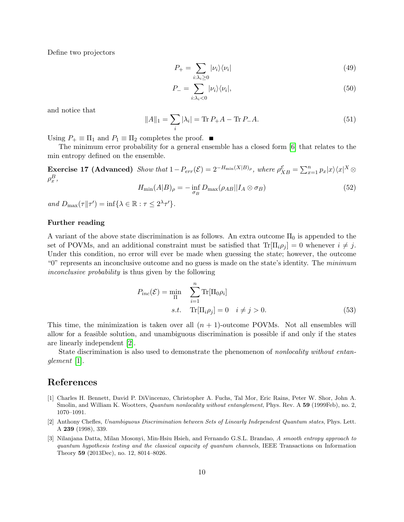Define two projectors

$$
P_{+} = \sum_{i:\lambda_{i}\geq 0} |\nu_{i}\rangle\langle\nu_{i}| \tag{49}
$$

$$
P_{-} = \sum_{i:\lambda_i < 0} |\nu_i\rangle\langle\nu_i|,\tag{50}
$$

and notice that

$$
||A||_1 = \sum_{i} |\lambda_i| = \text{Tr} \, P_+ A - \text{Tr} \, P_- A. \tag{51}
$$

Using  $P_+ \equiv \Pi_1$  and  $P_1 \equiv \Pi_2$  completes the proof.  $\blacksquare$ 

The minimum error probability for a general ensemble has a closed form [\[6\]](#page-10-5) that relates to the min entropy defined on the ensemble.

Exercise 17 (Advanced) Show that  $1-P_{err}(\mathcal{E})=2^{-H_{\min}(X|B)_{\rho}},$  where  $\rho_{XB}^{\mathcal{E}}=\sum_{x=1}^{n}p_x|x\rangle\langle x|^X\otimes$  $\rho^B_x$  ,

$$
H_{\min}(A|B)_{\rho} = -\inf_{\sigma_B} D_{\max}(\rho_{AB}||I_A \otimes \sigma_B)
$$
\n(52)

and  $D_{\max}(\tau||\tau') = \inf \{ \lambda \in \mathbb{R} : \tau \leq 2^{\lambda} \tau' \}.$ 

#### Further reading

A variant of the above state discrimination is as follows. An extra outcome  $\Pi_0$  is appended to the set of POVMs, and an additional constraint must be satisfied that  $\text{Tr}[\Pi_i \rho_j] = 0$  whenever  $i \neq j$ . Under this condition, no error will ever be made when guessing the state; however, the outcome "0" represents an inconclusive outcome and no guess is made on the state's identity. The minimum inconclusive probability is thus given by the following

$$
P_{inc}(\mathcal{E}) = \min_{\Pi} \sum_{i=1}^{n} \text{Tr}[\Pi_0 \rho_i]
$$
  
s.t.  $\text{Tr}[\Pi_i \rho_j] = 0 \quad i \neq j > 0.$  (53)

This time, the minimization is taken over all  $(n + 1)$ -outcome POVMs. Not all ensembles will allow for a feasible solution, and unambiguous discrimination is possible if and only if the states are linearly independent [\[2\]](#page-9-1).

State discrimination is also used to demonstrate the phenomenon of nonlocality without entanglement [\[1\]](#page-9-2).

# References

- <span id="page-9-2"></span>[1] Charles H. Bennett, David P. DiVincenzo, Christopher A. Fuchs, Tal Mor, Eric Rains, Peter W. Shor, John A. Smolin, and William K. Wootters, *Quantum nonlocality without entanglement*, Phys. Rev. A 59 (1999Feb), no. 2, 1070–1091.
- <span id="page-9-1"></span>[2] Anthony Chefles, Unambiguous Discrimination between Sets of Linearly Independent Quantum states, Phys. Lett. A 239 (1998), 339.
- <span id="page-9-0"></span>[3] Nilanjana Datta, Milan Mosonyi, Min-Hsiu Hsieh, and Fernando G.S.L. Brandao, A smooth entropy approach to quantum hypothesis testing and the classical capacity of quantum channels, IEEE Transactions on Information Theory 59 (2013Dec), no. 12, 8014–8026.